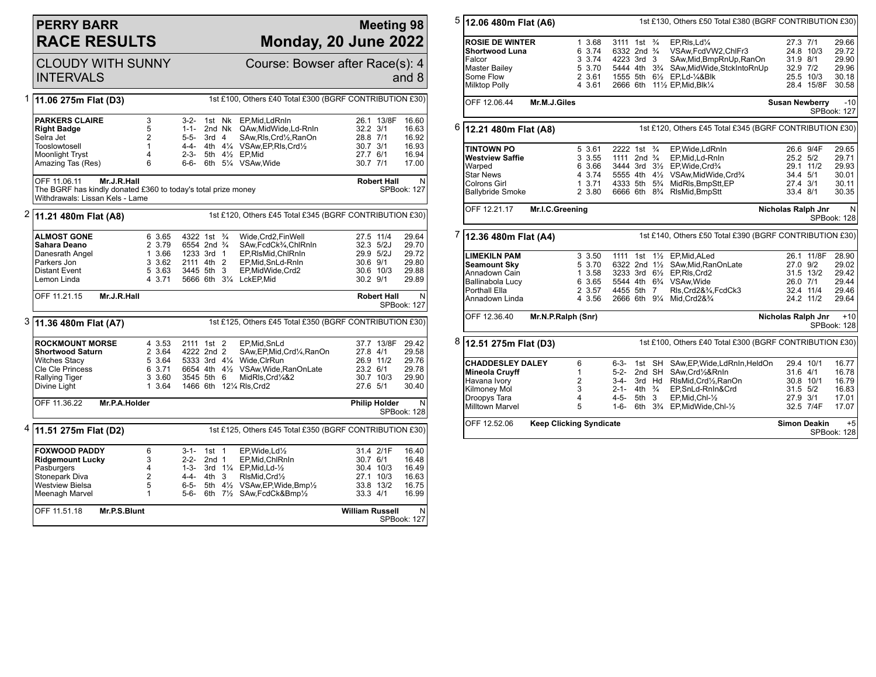## **PERRY BARR RACE RESULTS**

## **Meeting 98 Monday, 20 June 2022**

|   | <b>CLOUDY WITH SUNNY</b><br><b>INTERVALS</b>                                                                                                                         |                                                          |                                                                                            |                             |                  | Course: Bowser after Race(s): 4                                                                                                                                      |                                                          |                                                      | and 8                                              |
|---|----------------------------------------------------------------------------------------------------------------------------------------------------------------------|----------------------------------------------------------|--------------------------------------------------------------------------------------------|-----------------------------|------------------|----------------------------------------------------------------------------------------------------------------------------------------------------------------------|----------------------------------------------------------|------------------------------------------------------|----------------------------------------------------|
|   | 1st £100, Others £40 Total £300 (BGRF CONTRIBUTION £30)<br>1 11.06 275m Flat (D3)                                                                                    |                                                          |                                                                                            |                             |                  |                                                                                                                                                                      |                                                          |                                                      |                                                    |
|   | <b>PARKERS CLAIRE</b><br><b>Right Badge</b><br>Selra Jet<br>Tooslowtosell<br>Moonlight Tryst<br>Amazing Tas (Res)                                                    | 3<br>5<br>$\overline{2}$<br>1<br>4<br>6                  | $3-2-$<br>$1 - 1 -$<br>$5 - 5 -$<br>$2 - 3 -$<br>6-6-                                      | 3rd <sub>4</sub>            | 1st Nk<br>2nd Nk | EP.Mid.LdRnIn<br>QAw, Mid Wide, Ld-RnIn<br>SAw.Rls.Crd1/2.RanOn<br>4-4- 4th 41/4 VSAw, EP, RIs, Crd1/2<br>5th 41/2 EP.Mid<br>6th 51/4 VSAw, Wide                     | 32.2 3/1<br>28.8 7/1<br>30.7 3/1<br>27.7 6/1<br>30.7 7/1 | 26.1 13/8F                                           | 16.60<br>16.63<br>16.92<br>16.93<br>16.94<br>17.00 |
|   | OFF 11.06.11<br>Mr.J.R.Hall<br><b>Robert Hall</b><br>The BGRF has kindly donated £360 to today's total prize money<br>SPBook: 127<br>Withdrawals: Lissan Kels - Lame |                                                          |                                                                                            |                             |                  |                                                                                                                                                                      | N                                                        |                                                      |                                                    |
|   | <sup>2</sup> 11.21 480m Flat (A8)<br>1st £120, Others £45 Total £345 (BGRF CONTRIBUTION £30)                                                                         |                                                          |                                                                                            |                             |                  |                                                                                                                                                                      |                                                          |                                                      |                                                    |
|   | <b>ALMOST GONE</b><br>Sahara Deano<br>Danesrath Angel<br>Parkers Jon<br><b>Distant Event</b><br>Lemon Linda                                                          | 6 3.65<br>2 3.79<br>1 3.66<br>3 3.62<br>5 3.63<br>4 3.71 | 4322 1st<br>6554 2nd <sup>3</sup> / <sub>4</sub><br>1233 3rd 1<br>2111 4th 2<br>3445 5th 3 |                             | $\frac{3}{4}$    | Wide, Crd2, Fin Well<br>SAw,FcdCk3/4,ChlRnIn<br>EP,RIsMid,ChIRnIn<br>EP,Mid,SnLd-RnIn<br>EP, Mid Wide, Crd2<br>5666 6th 31/4 LckEP, Mid                              | 30.6 9/1<br>30.2 9/1                                     | 27.5 11/4<br>$32.3$ $5/2J$<br>29.9 5/2J<br>30.6 10/3 | 29.64<br>29.70<br>29.72<br>29.80<br>29.88<br>29.89 |
|   | OFF 11.21.15                                                                                                                                                         | Mr.J.R.Hall                                              |                                                                                            |                             |                  |                                                                                                                                                                      |                                                          | <b>Robert Hall</b>                                   | N<br>SPBook: 127                                   |
|   | 3 11.36 480m Flat (A7)<br>1st £125, Others £45 Total £350 (BGRF CONTRIBUTION £30)                                                                                    |                                                          |                                                                                            |                             |                  |                                                                                                                                                                      |                                                          |                                                      |                                                    |
|   | <b>ROCKMOUNT MORSE</b><br><b>Shortwood Saturn</b>                                                                                                                    | 4 3.53                                                   | 2111 1st 2                                                                                 |                             |                  | EP.Mid.SnLd                                                                                                                                                          |                                                          | 37.7 13/8F                                           | 29.42                                              |
|   | <b>Witches Stacy</b><br>Cle Cle Princess<br>Rallying Tiger<br>Divine Light                                                                                           | 2 3.64<br>5 3.64<br>6 3.71<br>3 3.60<br>1 3.64           | 4222 2nd 2<br>3545 5th 6                                                                   |                             |                  | SAw, EP, Mid, Crd1/4, RanOn<br>5333 3rd 41/4 Wide, ClrRun<br>6654 4th 41/2 VSAw, Wide, RanOnLate<br>MidRIs, Crd1/4&2<br>1466 6th 121/4 RIs, Crd2                     | 27.8 4/1<br>23.2 6/1<br>27.6 5/1                         | 26.9 11/2<br>30.7 10/3                               | 29.58<br>29.76<br>29.78<br>29.90<br>30.40          |
|   | OFF 11.36.22                                                                                                                                                         | Mr.P.A.Holder                                            |                                                                                            |                             |                  |                                                                                                                                                                      |                                                          | <b>Philip Holder</b>                                 | N<br>SPBook: 128                                   |
| 4 | 11.51 275m Flat (D2)                                                                                                                                                 |                                                          |                                                                                            |                             |                  | 1st £125, Others £45 Total £350 (BGRF CONTRIBUTION £30)                                                                                                              |                                                          |                                                      |                                                    |
|   | <b>FOXWOOD PADDY</b><br><b>Ridgemount Lucky</b><br>Pasburgers<br>Stonepark Diva<br><b>Westview Bielsa</b><br>Meenagh Marvel                                          | 6<br>3<br>4<br>$\overline{2}$<br>5<br>1                  | $3 - 1 -$<br>$2 - 2 -$<br>$1 - 3 -$<br>4-4- 4th 3<br>6-5-<br>5-6-                          | $1st$ 1<br>2nd <sub>1</sub> |                  | EP.Wide.Ld1/2<br>EP, Mid, ChlRnIn<br>3rd $1\frac{1}{4}$ EP, Mid, Ld- $\frac{1}{2}$<br>RIsMid.Crd1/2<br>5th 41/2 VSAw, EP, Wide, Bmp1/2<br>6th 71/2 SAw, FcdCk&Bmp1/2 | 30.7 6/1<br>33.3 4/1                                     | 31.4 2/1F<br>30.4 10/3<br>27.1 10/3<br>33.8 13/2     | 16.40<br>16.48<br>16.49<br>16.63<br>16.75<br>16.99 |

| 5                                                                                    |                                                                                                                            | 1st £130, Others £50 Total £380 (BGRF CONTRIBUTION £30)<br>12.06 480m Flat (A6)        |                                                                                                                                                                                         |                                                                                                                                                                                          |                                                                           |                                                    |  |
|--------------------------------------------------------------------------------------|----------------------------------------------------------------------------------------------------------------------------|----------------------------------------------------------------------------------------|-----------------------------------------------------------------------------------------------------------------------------------------------------------------------------------------|------------------------------------------------------------------------------------------------------------------------------------------------------------------------------------------|---------------------------------------------------------------------------|----------------------------------------------------|--|
|                                                                                      | <b>ROSIE DE WINTER</b><br><b>Shortwood Luna</b><br>Falcor<br><b>Master Bailey</b><br>Some Flow<br>Milktop Polly            | 1 3.68<br>6 3.74<br>3 3.74<br>5 3.70<br>2 3.61<br>4 3.61                               | 3111 1st $\frac{3}{4}$<br>6332 2nd <sup>3</sup> / <sub>4</sub><br>4223 3rd 3<br>5444 4th 3 <sup>3</sup> / <sub>4</sub><br>1555 5th 61/2 EP,Ld-1/4&Blk<br>2666 6th 111/2 EP, Mid, Blk1/4 | EP.RIs.Ld%<br>VSAw, FcdVW2, ChIFr3<br>SAw, Mid, BmpRnUp, RanOn<br>SAw, Mid Wide, StckInto RnUp                                                                                           | 27.3 7/1<br>24.8 10/3<br>31.9 8/1<br>32.9 7/2<br>25.5 10/3<br>28.4 15/8F  | 29.66<br>29.72<br>29.90<br>29.96<br>30.18<br>30.58 |  |
|                                                                                      | OFF 12.06.44                                                                                                               | Mr.M.J.Giles                                                                           |                                                                                                                                                                                         |                                                                                                                                                                                          | <b>Susan Newberry</b><br>SPBook: 127                                      | $-10$                                              |  |
| 6<br>1st £120, Others £45 Total £345 (BGRF CONTRIBUTION £30)<br>12.21 480m Flat (A8) |                                                                                                                            |                                                                                        |                                                                                                                                                                                         |                                                                                                                                                                                          |                                                                           |                                                    |  |
|                                                                                      | <b>TINTOWN PO</b><br><b>Westview Saffie</b><br>Warped<br><b>Star News</b><br>Colrons Girl<br><b>Ballybride Smoke</b>       | 5 3.61<br>3 3.55<br>6 3.66<br>4 3.74<br>13.71<br>2 3.80                                | 2222 1st <sup>3</sup> / <sub>4</sub><br>1111 2nd $\frac{3}{4}$<br>5555 4th 41/ <sub>2</sub><br>4333 5th 5 <sup>3</sup> / <sub>4</sub>                                                   | EP.Wide.LdRnIn<br>EP, Mid, Ld-RnIn<br>3444 3rd 31/2 EP, Wide, Crd3/4<br>VSAw,MidWide,Crd3⁄4<br>MidRls, BmpStt, EP<br>6666 6th 8 <sup>3</sup> / <sub>4</sub> RIsMid, BmpStt               | 26.6 9/4F<br>25.2 5/2<br>29.1 11/2<br>34.4 5/1<br>27.4 3/1<br>33.4 8/1    | 29.65<br>29.71<br>29.93<br>30.01<br>30.11<br>30.35 |  |
|                                                                                      | OFF 12.21.17                                                                                                               | Mr.I.C.Greening                                                                        |                                                                                                                                                                                         |                                                                                                                                                                                          | Nicholas Ralph Jnr<br>SPBook: 128                                         | N.                                                 |  |
| 7                                                                                    | 12.36 480m Flat (A4)                                                                                                       |                                                                                        |                                                                                                                                                                                         | 1st £140, Others £50 Total £390 (BGRF CONTRIBUTION £30)                                                                                                                                  |                                                                           |                                                    |  |
|                                                                                      | <b>LIMEKILN PAM</b><br><b>Seamount Sky</b><br>Annadown Cain<br>Ballinabola Lucy<br>Porthall Ella<br>Annadown Linda         | 3 3.50<br>5 3.70<br>1 3.58<br>6 3.65<br>2 3.57<br>4 3.56                               | 1111 1st 11/2 EP, Mid, ALed<br>6322 2nd 1½<br>3233 3rd $6\frac{1}{2}$<br>5544 4th 6 <sup>3</sup> / <sub>4</sub> VSAw, Wide<br>4455 5th 7<br>2666 6th 91/4                               | SAw, Mid, RanOnLate<br>EP, RIs, Crd2<br>RIs, Crd2&3/4, FcdCk3<br>Mid, Crd2&3/4                                                                                                           | 26.1 11/8F<br>27.0 9/2<br>31.5 13/2<br>26.0 7/1<br>32.4 11/4<br>24.2 11/2 | 28.90<br>29.02<br>29.42<br>29.44<br>29.46<br>29.64 |  |
|                                                                                      | OFF 12.36.40                                                                                                               | Mr.N.P.Ralph (Snr)                                                                     |                                                                                                                                                                                         |                                                                                                                                                                                          | Nicholas Ralph Jnr<br>SPBook: 128                                         | $+10$                                              |  |
| 8<br>1st £100, Others £40 Total £300 (BGRF CONTRIBUTION £30)<br>12.51 275m Flat (D3) |                                                                                                                            |                                                                                        |                                                                                                                                                                                         |                                                                                                                                                                                          |                                                                           |                                                    |  |
|                                                                                      | <b>CHADDESLEY DALEY</b><br><b>Mineola Cruyff</b><br>Havana Ivory<br>Kilmoney Mol<br>Droopys Tara<br><b>Milltown Marvel</b> | 6<br>1<br>$\overline{2}$<br>3<br>$\overline{4}$<br>5<br><b>Keep Clicking Syndicate</b> | 1st SH<br>6-3-<br>2nd SH<br>$5-2-$<br>3rd Hd<br>3-4-<br>4th $\frac{3}{4}$<br>$2 - 1 -$<br>4-5-<br>5th 3<br>1-6-                                                                         | SAw, EP, Wide, LdRnIn, HeldOn<br>SAw.Crd1/2&RnIn<br>RIsMid, Crd1/2, RanOn<br>EP,SnLd-RnIn&Crd<br>EP, Mid, Chl-1/2<br>6th 3 <sup>3</sup> / <sub>4</sub> EP, Mid Wide, Chl-1/ <sub>2</sub> | 29.4 10/1<br>31.6 4/1<br>30.8 10/1<br>31.5 5/2<br>27.9 3/1<br>32.5 7/4F   | 16.77<br>16.78<br>16.79<br>16.83<br>17.01<br>17.07 |  |
|                                                                                      | OFF 12.52.06                                                                                                               | <b>Simon Deakin</b><br>SPBook: 128                                                     | $+5$                                                                                                                                                                                    |                                                                                                                                                                                          |                                                                           |                                                    |  |